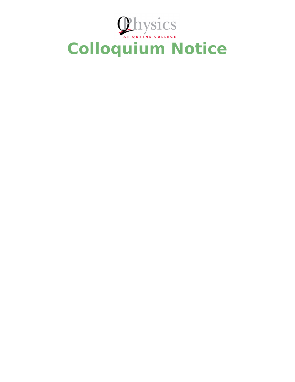